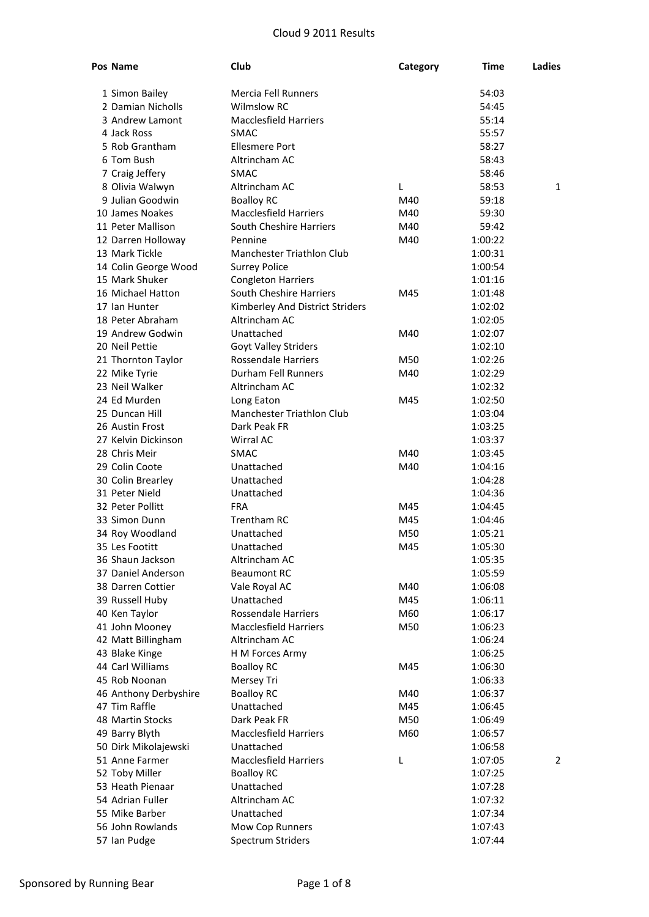| Pos Name              | Club                            | Category | Time    | Ladies       |
|-----------------------|---------------------------------|----------|---------|--------------|
| 1 Simon Bailey        | Mercia Fell Runners             |          | 54:03   |              |
| 2 Damian Nicholls     | <b>Wilmslow RC</b>              |          | 54:45   |              |
| 3 Andrew Lamont       | <b>Macclesfield Harriers</b>    |          | 55:14   |              |
| 4 Jack Ross           | <b>SMAC</b>                     |          | 55:57   |              |
| 5 Rob Grantham        | <b>Ellesmere Port</b>           |          | 58:27   |              |
| 6 Tom Bush            | Altrincham AC                   |          | 58:43   |              |
| 7 Craig Jeffery       | <b>SMAC</b>                     |          | 58:46   |              |
| 8 Olivia Walwyn       | Altrincham AC                   | L        | 58:53   | $\mathbf{1}$ |
| 9 Julian Goodwin      | <b>Boalloy RC</b>               | M40      | 59:18   |              |
| 10 James Noakes       | <b>Macclesfield Harriers</b>    | M40      | 59:30   |              |
| 11 Peter Mallison     | South Cheshire Harriers         | M40      | 59:42   |              |
| 12 Darren Holloway    | Pennine                         | M40      | 1:00:22 |              |
| 13 Mark Tickle        | Manchester Triathlon Club       |          | 1:00:31 |              |
| 14 Colin George Wood  | <b>Surrey Police</b>            |          | 1:00:54 |              |
| 15 Mark Shuker        | <b>Congleton Harriers</b>       |          | 1:01:16 |              |
| 16 Michael Hatton     | South Cheshire Harriers         | M45      | 1:01:48 |              |
| 17 Ian Hunter         | Kimberley And District Striders |          | 1:02:02 |              |
| 18 Peter Abraham      | Altrincham AC                   |          | 1:02:05 |              |
| 19 Andrew Godwin      | Unattached                      | M40      | 1:02:07 |              |
| 20 Neil Pettie        | <b>Goyt Valley Striders</b>     |          | 1:02:10 |              |
| 21 Thornton Taylor    | <b>Rossendale Harriers</b>      | M50      | 1:02:26 |              |
| 22 Mike Tyrie         | Durham Fell Runners             | M40      | 1:02:29 |              |
| 23 Neil Walker        | Altrincham AC                   |          | 1:02:32 |              |
| 24 Ed Murden          | Long Eaton                      | M45      | 1:02:50 |              |
| 25 Duncan Hill        | Manchester Triathlon Club       |          | 1:03:04 |              |
| 26 Austin Frost       | Dark Peak FR                    |          | 1:03:25 |              |
| 27 Kelvin Dickinson   | Wirral AC                       |          | 1:03:37 |              |
| 28 Chris Meir         | <b>SMAC</b>                     | M40      | 1:03:45 |              |
| 29 Colin Coote        | Unattached                      | M40      | 1:04:16 |              |
| 30 Colin Brearley     | Unattached                      |          | 1:04:28 |              |
| 31 Peter Nield        | Unattached                      |          | 1:04:36 |              |
| 32 Peter Pollitt      | <b>FRA</b>                      | M45      | 1:04:45 |              |
| 33 Simon Dunn         | <b>Trentham RC</b>              | M45      | 1:04:46 |              |
| 34 Roy Woodland       | Unattached                      | M50      | 1:05:21 |              |
| 35 Les Footitt        | Unattached                      | M45      | 1:05:30 |              |
| 36 Shaun Jackson      | Altrincham AC                   |          | 1:05:35 |              |
| 37 Daniel Anderson    | <b>Beaumont RC</b>              |          | 1:05:59 |              |
| 38 Darren Cottier     | Vale Royal AC                   | M40      | 1:06:08 |              |
| 39 Russell Huby       | Unattached                      | M45      | 1:06:11 |              |
| 40 Ken Taylor         | <b>Rossendale Harriers</b>      | M60      | 1:06:17 |              |
| 41 John Mooney        | <b>Macclesfield Harriers</b>    | M50      | 1:06:23 |              |
| 42 Matt Billingham    | Altrincham AC                   |          | 1:06:24 |              |
| 43 Blake Kinge        | H M Forces Army                 |          | 1:06:25 |              |
| 44 Carl Williams      | <b>Boalloy RC</b>               | M45      | 1:06:30 |              |
| 45 Rob Noonan         | Mersey Tri                      |          | 1:06:33 |              |
| 46 Anthony Derbyshire | <b>Boalloy RC</b>               | M40      | 1:06:37 |              |
| 47 Tim Raffle         | Unattached                      | M45      | 1:06:45 |              |
| 48 Martin Stocks      | Dark Peak FR                    | M50      | 1:06:49 |              |
| 49 Barry Blyth        | <b>Macclesfield Harriers</b>    | M60      | 1:06:57 |              |
| 50 Dirk Mikolajewski  | Unattached                      |          | 1:06:58 |              |
| 51 Anne Farmer        | <b>Macclesfield Harriers</b>    | L        | 1:07:05 | 2            |
| 52 Toby Miller        | <b>Boalloy RC</b>               |          | 1:07:25 |              |
| 53 Heath Pienaar      | Unattached                      |          | 1:07:28 |              |
| 54 Adrian Fuller      | Altrincham AC                   |          | 1:07:32 |              |
| 55 Mike Barber        | Unattached                      |          | 1:07:34 |              |
| 56 John Rowlands      | Mow Cop Runners                 |          | 1:07:43 |              |
| 57 Ian Pudge          | Spectrum Striders               |          | 1:07:44 |              |
|                       |                                 |          |         |              |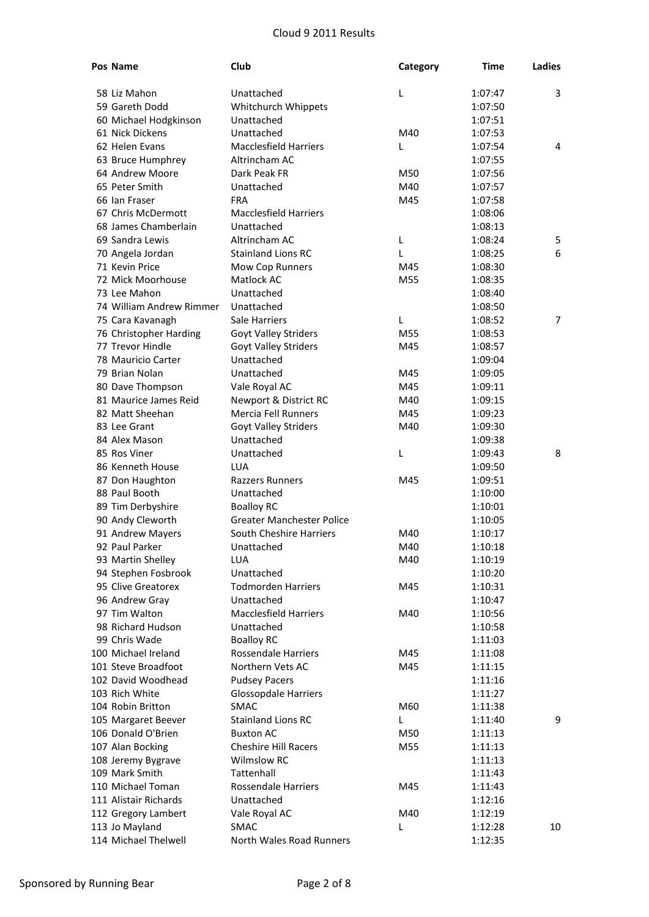| Pos Name                 | Club                             | Category | Time    | Ladies         |
|--------------------------|----------------------------------|----------|---------|----------------|
| 58 Liz Mahon             | Unattached                       | L        | 1:07:47 | 3              |
| 59 Gareth Dodd           | Whitchurch Whippets              |          | 1:07:50 |                |
| 60 Michael Hodgkinson    | Unattached                       |          | 1:07:51 |                |
| 61 Nick Dickens          | Unattached                       | M40      | 1:07:53 |                |
| 62 Helen Evans           | <b>Macclesfield Harriers</b>     | L        | 1:07:54 | 4              |
| 63 Bruce Humphrey        | Altrincham AC                    |          | 1:07:55 |                |
| 64 Andrew Moore          | Dark Peak FR                     | M50      | 1:07:56 |                |
| 65 Peter Smith           | Unattached                       | M40      | 1:07:57 |                |
| 66 Ian Fraser            | <b>FRA</b>                       | M45      | 1:07:58 |                |
| 67 Chris McDermott       | <b>Macclesfield Harriers</b>     |          | 1:08:06 |                |
| 68 James Chamberlain     | Unattached                       |          | 1:08:13 |                |
| 69 Sandra Lewis          | Altrincham AC                    | L        | 1:08:24 | 5              |
| 70 Angela Jordan         | <b>Stainland Lions RC</b>        | L        | 1:08:25 | 6              |
| 71 Kevin Price           | Mow Cop Runners                  | M45      | 1:08:30 |                |
| 72 Mick Moorhouse        | Matlock AC                       | M55      | 1:08:35 |                |
| 73 Lee Mahon             | Unattached                       |          | 1:08:40 |                |
| 74 William Andrew Rimmer | Unattached                       |          | 1:08:50 |                |
| 75 Cara Kavanagh         | Sale Harriers                    | L        | 1:08:52 | $\overline{7}$ |
| 76 Christopher Harding   | <b>Goyt Valley Striders</b>      | M55      | 1:08:53 |                |
| 77 Trevor Hindle         | <b>Goyt Valley Striders</b>      | M45      | 1:08:57 |                |
| 78 Mauricio Carter       | Unattached                       |          | 1:09:04 |                |
| 79 Brian Nolan           | Unattached                       | M45      | 1:09:05 |                |
| 80 Dave Thompson         | Vale Royal AC                    | M45      | 1:09:11 |                |
| 81 Maurice James Reid    | Newport & District RC            | M40      | 1:09:15 |                |
| 82 Matt Sheehan          | <b>Mercia Fell Runners</b>       | M45      | 1:09:23 |                |
| 83 Lee Grant             | <b>Goyt Valley Striders</b>      | M40      | 1:09:30 |                |
| 84 Alex Mason            | Unattached                       |          | 1:09:38 |                |
| 85 Ros Viner             | Unattached                       | L        | 1:09:43 | 8              |
| 86 Kenneth House         | LUA                              |          | 1:09:50 |                |
| 87 Don Haughton          | <b>Razzers Runners</b>           | M45      | 1:09:51 |                |
| 88 Paul Booth            | Unattached                       |          | 1:10:00 |                |
| 89 Tim Derbyshire        | <b>Boalloy RC</b>                |          | 1:10:01 |                |
| 90 Andy Cleworth         | <b>Greater Manchester Police</b> |          | 1:10:05 |                |
| 91 Andrew Mayers         | South Cheshire Harriers          | M40      | 1:10:17 |                |
| 92 Paul Parker           | Unattached                       | M40      | 1:10:18 |                |
| 93 Martin Shelley        | LUA                              | M40      | 1:10:19 |                |
| 94 Stephen Fosbrook      | Unattached                       |          | 1:10:20 |                |
| 95 Clive Greatorex       | <b>Todmorden Harriers</b>        | M45      | 1:10:31 |                |
| 96 Andrew Gray           | Unattached                       |          | 1:10:47 |                |
| 97 Tim Walton            | <b>Macclesfield Harriers</b>     | M40      | 1:10:56 |                |
| 98 Richard Hudson        | Unattached                       |          | 1:10:58 |                |
| 99 Chris Wade            | <b>Boalloy RC</b>                |          | 1:11:03 |                |
| 100 Michael Ireland      | Rossendale Harriers              | M45      | 1:11:08 |                |
| 101 Steve Broadfoot      | Northern Vets AC                 | M45      | 1:11:15 |                |
| 102 David Woodhead       | <b>Pudsey Pacers</b>             |          | 1:11:16 |                |
| 103 Rich White           | <b>Glossopdale Harriers</b>      |          | 1:11:27 |                |
| 104 Robin Britton        | <b>SMAC</b>                      | M60      | 1:11:38 |                |
| 105 Margaret Beever      | <b>Stainland Lions RC</b>        | L.       | 1:11:40 | 9              |
| 106 Donald O'Brien       | <b>Buxton AC</b>                 | M50      | 1:11:13 |                |
| 107 Alan Bocking         | <b>Cheshire Hill Racers</b>      | M55      | 1:11:13 |                |
| 108 Jeremy Bygrave       | <b>Wilmslow RC</b>               |          | 1:11:13 |                |
| 109 Mark Smith           | Tattenhall                       |          | 1:11:43 |                |
| 110 Michael Toman        | Rossendale Harriers              | M45      | 1:11:43 |                |
| 111 Alistair Richards    | Unattached                       |          | 1:12:16 |                |
| 112 Gregory Lambert      | Vale Royal AC                    | M40      | 1:12:19 |                |
| 113 Jo Mayland           | <b>SMAC</b>                      | L        | 1:12:28 | 10             |
| 114 Michael Thelwell     | North Wales Road Runners         |          | 1:12:35 |                |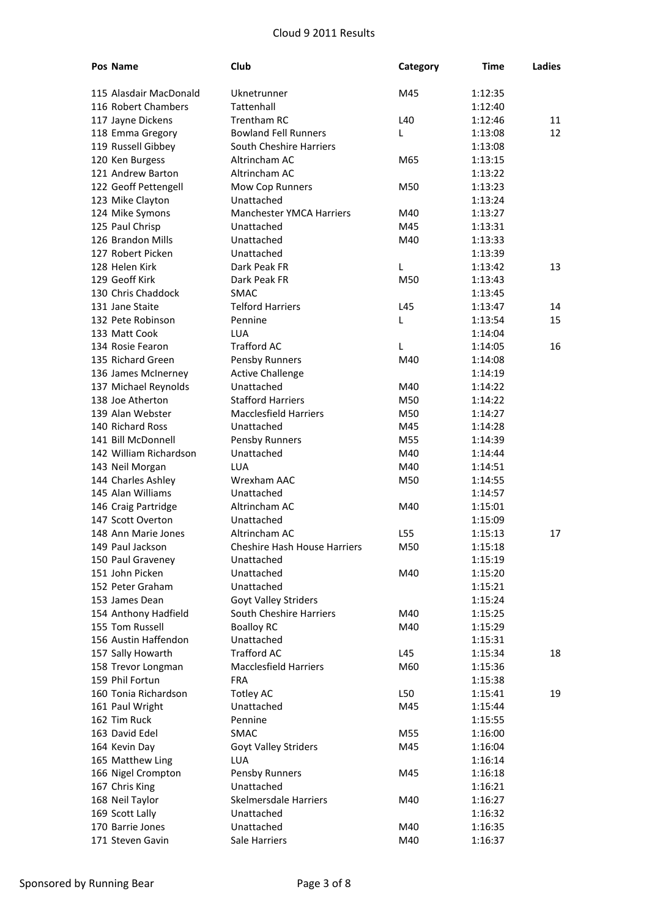| Pos Name                           | Club                                | Category | Time               | Ladies |
|------------------------------------|-------------------------------------|----------|--------------------|--------|
| 115 Alasdair MacDonald             | Uknetrunner                         | M45      | 1:12:35            |        |
| 116 Robert Chambers                | Tattenhall                          |          | 1:12:40            |        |
| 117 Jayne Dickens                  | <b>Trentham RC</b>                  | L40      | 1:12:46            | 11     |
| 118 Emma Gregory                   | <b>Bowland Fell Runners</b>         | L        | 1:13:08            | 12     |
| 119 Russell Gibbey                 | South Cheshire Harriers             |          | 1:13:08            |        |
| 120 Ken Burgess                    | Altrincham AC                       | M65      | 1:13:15            |        |
| 121 Andrew Barton                  | Altrincham AC                       |          | 1:13:22            |        |
| 122 Geoff Pettengell               | Mow Cop Runners                     | M50      | 1:13:23            |        |
| 123 Mike Clayton                   | Unattached                          |          | 1:13:24            |        |
| 124 Mike Symons                    | <b>Manchester YMCA Harriers</b>     | M40      | 1:13:27            |        |
| 125 Paul Chrisp                    | Unattached                          | M45      | 1:13:31            |        |
| 126 Brandon Mills                  | Unattached                          | M40      | 1:13:33            |        |
| 127 Robert Picken                  | Unattached                          |          | 1:13:39            |        |
| 128 Helen Kirk                     | Dark Peak FR                        | L        | 1:13:42            | 13     |
| 129 Geoff Kirk                     | Dark Peak FR                        | M50      | 1:13:43            |        |
| 130 Chris Chaddock                 | <b>SMAC</b>                         |          | 1:13:45            |        |
| 131 Jane Staite                    | <b>Telford Harriers</b>             | L45      | 1:13:47            | 14     |
| 132 Pete Robinson                  | Pennine                             | L        | 1:13:54            | 15     |
| 133 Matt Cook                      | LUA                                 |          | 1:14:04            |        |
| 134 Rosie Fearon                   | <b>Trafford AC</b>                  | L        | 1:14:05            | 16     |
| 135 Richard Green                  | Pensby Runners                      | M40      | 1:14:08            |        |
| 136 James McInerney                | <b>Active Challenge</b>             |          | 1:14:19            |        |
| 137 Michael Reynolds               | Unattached                          | M40      | 1:14:22            |        |
| 138 Joe Atherton                   | <b>Stafford Harriers</b>            | M50      | 1:14:22            |        |
| 139 Alan Webster                   | <b>Macclesfield Harriers</b>        | M50      | 1:14:27            |        |
| 140 Richard Ross                   | Unattached                          | M45      | 1:14:28            |        |
| 141 Bill McDonnell                 | Pensby Runners                      | M55      | 1:14:39            |        |
| 142 William Richardson             | Unattached                          | M40      | 1:14:44            |        |
| 143 Neil Morgan                    | LUA                                 | M40      | 1:14:51            |        |
| 144 Charles Ashley                 | <b>Wrexham AAC</b>                  | M50      | 1:14:55            |        |
| 145 Alan Williams                  | Unattached                          |          | 1:14:57            |        |
| 146 Craig Partridge                | Altrincham AC                       | M40      | 1:15:01            |        |
| 147 Scott Overton                  | Unattached                          |          | 1:15:09            |        |
| 148 Ann Marie Jones                | Altrincham AC                       | L55      | 1:15:13            | 17     |
| 149 Paul Jackson                   | Cheshire Hash House Harriers        | M50      | 1:15:18            |        |
| 150 Paul Graveney                  | Unattached                          |          | 1:15:19            |        |
| 151 John Picken                    | Unattached                          | M40      | 1:15:20            |        |
| 152 Peter Graham                   | Unattached                          |          | 1:15:21            |        |
| 153 James Dean                     | Goyt Valley Striders                |          | 1:15:24            |        |
| 154 Anthony Hadfield               | South Cheshire Harriers             | M40      | 1:15:25            |        |
| 155 Tom Russell                    | <b>Boalloy RC</b>                   | M40      | 1:15:29            |        |
| 156 Austin Haffendon               | Unattached                          |          | 1:15:31            |        |
| 157 Sally Howarth                  | <b>Trafford AC</b>                  | L45      | 1:15:34            | 18     |
| 158 Trevor Longman                 | <b>Macclesfield Harriers</b>        | M60      | 1:15:36            |        |
| 159 Phil Fortun                    | <b>FRA</b>                          |          | 1:15:38            |        |
| 160 Tonia Richardson               | <b>Totley AC</b>                    | L50      | 1:15:41            | 19     |
| 161 Paul Wright                    | Unattached                          | M45      | 1:15:44            |        |
| 162 Tim Ruck                       | Pennine                             |          | 1:15:55            |        |
| 163 David Edel                     | SMAC                                | M55      | 1:16:00            |        |
| 164 Kevin Day                      | Goyt Valley Striders                | M45      | 1:16:04            |        |
| 165 Matthew Ling                   | LUA                                 | M45      | 1:16:14<br>1:16:18 |        |
| 166 Nigel Crompton                 | Pensby Runners<br>Unattached        |          | 1:16:21            |        |
| 167 Chris King                     |                                     |          |                    |        |
| 168 Neil Taylor<br>169 Scott Lally | Skelmersdale Harriers<br>Unattached | M40      | 1:16:27            |        |
| 170 Barrie Jones                   | Unattached                          | M40      | 1:16:32            |        |
| 171 Steven Gavin                   | Sale Harriers                       | M40      | 1:16:35<br>1:16:37 |        |
|                                    |                                     |          |                    |        |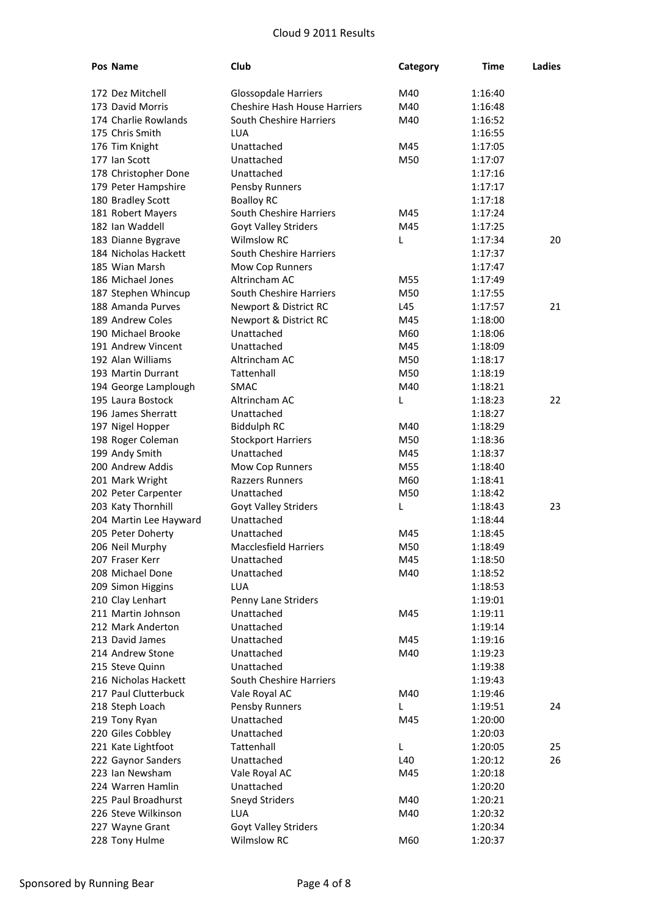| Pos Name               | Club                                | Category | Time    | Ladies |
|------------------------|-------------------------------------|----------|---------|--------|
| 172 Dez Mitchell       | Glossopdale Harriers                | M40      | 1:16:40 |        |
| 173 David Morris       | <b>Cheshire Hash House Harriers</b> | M40      | 1:16:48 |        |
| 174 Charlie Rowlands   | South Cheshire Harriers             | M40      | 1:16:52 |        |
| 175 Chris Smith        | LUA                                 |          | 1:16:55 |        |
| 176 Tim Knight         | Unattached                          | M45      | 1:17:05 |        |
| 177 Ian Scott          | Unattached                          | M50      | 1:17:07 |        |
| 178 Christopher Done   | Unattached                          |          | 1:17:16 |        |
| 179 Peter Hampshire    | Pensby Runners                      |          | 1:17:17 |        |
| 180 Bradley Scott      | <b>Boalloy RC</b>                   |          | 1:17:18 |        |
| 181 Robert Mayers      | South Cheshire Harriers             | M45      | 1:17:24 |        |
| 182 Ian Waddell        | Goyt Valley Striders                | M45      | 1:17:25 |        |
| 183 Dianne Bygrave     | <b>Wilmslow RC</b>                  | L        | 1:17:34 | 20     |
| 184 Nicholas Hackett   | South Cheshire Harriers             |          | 1:17:37 |        |
| 185 Wian Marsh         | Mow Cop Runners                     |          | 1:17:47 |        |
| 186 Michael Jones      | Altrincham AC                       | M55      | 1:17:49 |        |
| 187 Stephen Whincup    | South Cheshire Harriers             | M50      | 1:17:55 |        |
| 188 Amanda Purves      | Newport & District RC               | L45      | 1:17:57 | 21     |
| 189 Andrew Coles       | Newport & District RC               | M45      | 1:18:00 |        |
| 190 Michael Brooke     | Unattached                          | M60      | 1:18:06 |        |
| 191 Andrew Vincent     | Unattached                          | M45      | 1:18:09 |        |
| 192 Alan Williams      | Altrincham AC                       | M50      | 1:18:17 |        |
| 193 Martin Durrant     | Tattenhall                          | M50      | 1:18:19 |        |
| 194 George Lamplough   | <b>SMAC</b>                         | M40      | 1:18:21 |        |
| 195 Laura Bostock      | Altrincham AC                       | L        | 1:18:23 | 22     |
| 196 James Sherratt     | Unattached                          |          | 1:18:27 |        |
| 197 Nigel Hopper       | <b>Biddulph RC</b>                  | M40      | 1:18:29 |        |
| 198 Roger Coleman      | <b>Stockport Harriers</b>           | M50      | 1:18:36 |        |
| 199 Andy Smith         | Unattached                          | M45      | 1:18:37 |        |
| 200 Andrew Addis       | Mow Cop Runners                     | M55      | 1:18:40 |        |
| 201 Mark Wright        | <b>Razzers Runners</b>              | M60      | 1:18:41 |        |
| 202 Peter Carpenter    | Unattached                          | M50      | 1:18:42 |        |
| 203 Katy Thornhill     | <b>Goyt Valley Striders</b>         | L        | 1:18:43 | 23     |
| 204 Martin Lee Hayward | Unattached                          |          | 1:18:44 |        |
| 205 Peter Doherty      | Unattached                          | M45      | 1:18:45 |        |
| 206 Neil Murphy        | Macclesfield Harriers               | M50      | 1:18:49 |        |
| 207 Fraser Kerr        | Unattached                          | M45      | 1:18:50 |        |
| 208 Michael Done       | Unattached                          | M40      | 1:18:52 |        |
| 209 Simon Higgins      | <b>LUA</b>                          |          | 1:18:53 |        |
| 210 Clay Lenhart       | Penny Lane Striders                 |          | 1:19:01 |        |
| 211 Martin Johnson     | Unattached                          | M45      | 1:19:11 |        |
| 212 Mark Anderton      | Unattached                          |          | 1:19:14 |        |
| 213 David James        | Unattached                          | M45      | 1:19:16 |        |
| 214 Andrew Stone       | Unattached                          | M40      | 1:19:23 |        |
| 215 Steve Quinn        | Unattached                          |          | 1:19:38 |        |
| 216 Nicholas Hackett   | South Cheshire Harriers             |          | 1:19:43 |        |
| 217 Paul Clutterbuck   | Vale Royal AC                       | M40      | 1:19:46 |        |
| 218 Steph Loach        | Pensby Runners                      | L        | 1:19:51 | 24     |
| 219 Tony Ryan          | Unattached                          | M45      | 1:20:00 |        |
| 220 Giles Cobbley      | Unattached                          |          | 1:20:03 |        |
| 221 Kate Lightfoot     | Tattenhall                          | L        | 1:20:05 | 25     |
| 222 Gaynor Sanders     | Unattached                          | L40      | 1:20:12 | 26     |
| 223 Ian Newsham        | Vale Royal AC                       | M45      | 1:20:18 |        |
| 224 Warren Hamlin      | Unattached                          |          | 1:20:20 |        |
| 225 Paul Broadhurst    | <b>Sneyd Striders</b>               | M40      | 1:20:21 |        |
| 226 Steve Wilkinson    | <b>LUA</b>                          | M40      | 1:20:32 |        |
| 227 Wayne Grant        | <b>Goyt Valley Striders</b>         |          | 1:20:34 |        |
| 228 Tony Hulme         | Wilmslow RC                         | M60      | 1:20:37 |        |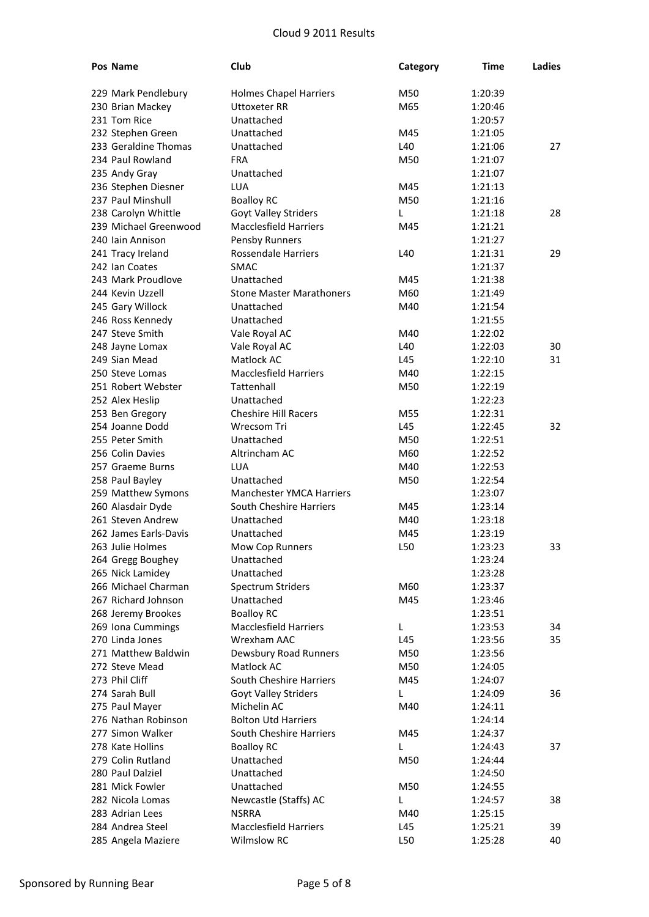| <b>Pos Name</b>       | Club                            | Category | <b>Time</b> | <b>Ladies</b> |
|-----------------------|---------------------------------|----------|-------------|---------------|
| 229 Mark Pendlebury   | <b>Holmes Chapel Harriers</b>   | M50      | 1:20:39     |               |
| 230 Brian Mackey      | Uttoxeter RR                    | M65      | 1:20:46     |               |
| 231 Tom Rice          | Unattached                      |          | 1:20:57     |               |
| 232 Stephen Green     | Unattached                      | M45      | 1:21:05     |               |
| 233 Geraldine Thomas  | Unattached                      | L40      | 1:21:06     | 27            |
| 234 Paul Rowland      | <b>FRA</b>                      | M50      | 1:21:07     |               |
| 235 Andy Gray         | Unattached                      |          | 1:21:07     |               |
| 236 Stephen Diesner   | <b>LUA</b>                      | M45      | 1:21:13     |               |
| 237 Paul Minshull     | <b>Boalloy RC</b>               | M50      | 1:21:16     |               |
| 238 Carolyn Whittle   | <b>Goyt Valley Striders</b>     | L        | 1:21:18     | 28            |
| 239 Michael Greenwood | <b>Macclesfield Harriers</b>    | M45      | 1:21:21     |               |
| 240 Iain Annison      | Pensby Runners                  |          | 1:21:27     |               |
| 241 Tracy Ireland     | <b>Rossendale Harriers</b>      | L40      | 1:21:31     | 29            |
| 242 Ian Coates        | <b>SMAC</b>                     |          | 1:21:37     |               |
| 243 Mark Proudlove    | Unattached                      | M45      | 1:21:38     |               |
| 244 Kevin Uzzell      | <b>Stone Master Marathoners</b> | M60      | 1:21:49     |               |
| 245 Gary Willock      | Unattached                      | M40      | 1:21:54     |               |
| 246 Ross Kennedy      | Unattached                      |          | 1:21:55     |               |
| 247 Steve Smith       | Vale Royal AC                   | M40      | 1:22:02     |               |
| 248 Jayne Lomax       | Vale Royal AC                   | L40      | 1:22:03     | 30            |
| 249 Sian Mead         | Matlock AC                      | L45      | 1:22:10     | 31            |
| 250 Steve Lomas       | <b>Macclesfield Harriers</b>    | M40      | 1:22:15     |               |
| 251 Robert Webster    | Tattenhall                      | M50      | 1:22:19     |               |
| 252 Alex Heslip       | Unattached                      |          | 1:22:23     |               |
| 253 Ben Gregory       | <b>Cheshire Hill Racers</b>     | M55      | 1:22:31     |               |
| 254 Joanne Dodd       | Wrecsom Tri                     | L45      | 1:22:45     | 32            |
| 255 Peter Smith       | Unattached                      | M50      | 1:22:51     |               |
| 256 Colin Davies      | Altrincham AC                   | M60      | 1:22:52     |               |
| 257 Graeme Burns      | LUA                             | M40      | 1:22:53     |               |
| 258 Paul Bayley       | Unattached                      | M50      | 1:22:54     |               |
| 259 Matthew Symons    | <b>Manchester YMCA Harriers</b> |          | 1:23:07     |               |
| 260 Alasdair Dyde     | South Cheshire Harriers         | M45      | 1:23:14     |               |
| 261 Steven Andrew     | Unattached                      | M40      | 1:23:18     |               |
| 262 James Earls-Davis | Unattached                      | M45      | 1:23:19     |               |
| 263 Julie Holmes      | Mow Cop Runners                 | L50      | 1:23:23     | 33            |
| 264 Gregg Boughey     | Unattached                      |          | 1:23:24     |               |
| 265 Nick Lamidey      | Unattached                      |          | 1:23:28     |               |
| 266 Michael Charman   | <b>Spectrum Striders</b>        | M60      | 1:23:37     |               |
| 267 Richard Johnson   | Unattached                      | M45      | 1:23:46     |               |
| 268 Jeremy Brookes    | <b>Boalloy RC</b>               |          | 1:23:51     |               |
| 269 Iona Cummings     | <b>Macclesfield Harriers</b>    | L        | 1:23:53     | 34            |
| 270 Linda Jones       | Wrexham AAC                     | L45      | 1:23:56     | 35            |
| 271 Matthew Baldwin   | Dewsbury Road Runners           | M50      | 1:23:56     |               |
| 272 Steve Mead        | Matlock AC                      | M50      | 1:24:05     |               |
| 273 Phil Cliff        | South Cheshire Harriers         | M45      | 1:24:07     |               |
| 274 Sarah Bull        | Goyt Valley Striders            | L.       | 1:24:09     | 36            |
| 275 Paul Mayer        | Michelin AC                     | M40      | 1:24:11     |               |
| 276 Nathan Robinson   | <b>Bolton Utd Harriers</b>      |          | 1:24:14     |               |
| 277 Simon Walker      | South Cheshire Harriers         | M45      | 1:24:37     |               |
| 278 Kate Hollins      | <b>Boalloy RC</b>               | L        | 1:24:43     | 37            |
| 279 Colin Rutland     | Unattached                      | M50      | 1:24:44     |               |
| 280 Paul Dalziel      | Unattached                      |          | 1:24:50     |               |
| 281 Mick Fowler       | Unattached                      | M50      | 1:24:55     |               |
| 282 Nicola Lomas      | Newcastle (Staffs) AC           | L.       | 1:24:57     | 38            |
| 283 Adrian Lees       | <b>NSRRA</b>                    | M40      | 1:25:15     |               |
| 284 Andrea Steel      | <b>Macclesfield Harriers</b>    | L45      | 1:25:21     | 39            |
| 285 Angela Maziere    | <b>Wilmslow RC</b>              | L50      | 1:25:28     | 40            |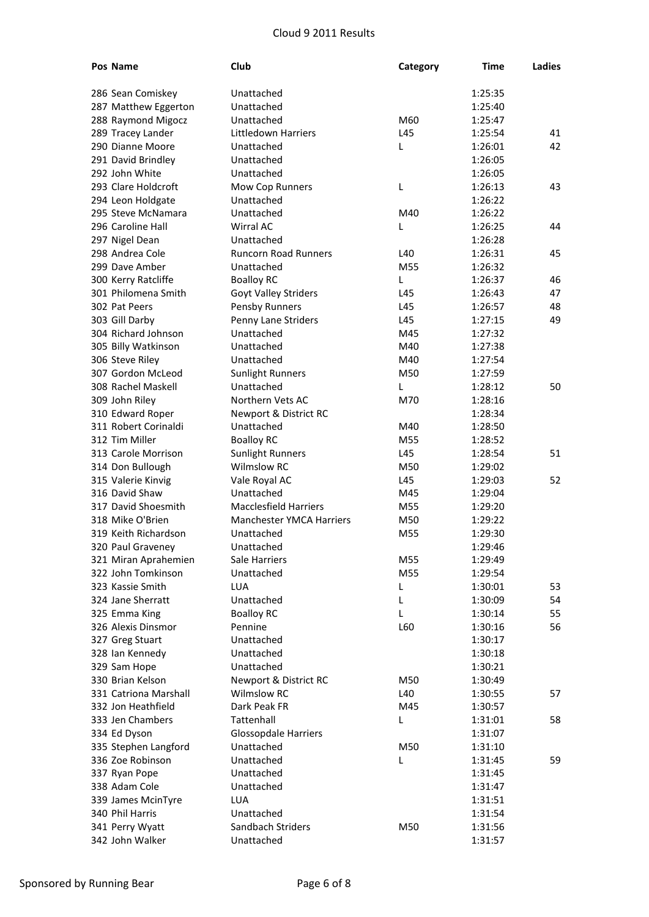| Pos Name              | Club                            | Category | Time    | Ladies |
|-----------------------|---------------------------------|----------|---------|--------|
| 286 Sean Comiskey     | Unattached                      |          | 1:25:35 |        |
| 287 Matthew Eggerton  | Unattached                      |          | 1:25:40 |        |
| 288 Raymond Migocz    | Unattached                      | M60      | 1:25:47 |        |
| 289 Tracey Lander     | Littledown Harriers             | L45      | 1:25:54 | 41     |
| 290 Dianne Moore      | Unattached                      | L        | 1:26:01 | 42     |
| 291 David Brindley    | Unattached                      |          | 1:26:05 |        |
| 292 John White        | Unattached                      |          | 1:26:05 |        |
| 293 Clare Holdcroft   | Mow Cop Runners                 | L        | 1:26:13 | 43     |
| 294 Leon Holdgate     | Unattached                      |          | 1:26:22 |        |
| 295 Steve McNamara    | Unattached                      | M40      | 1:26:22 |        |
| 296 Caroline Hall     | <b>Wirral AC</b>                | L        | 1:26:25 | 44     |
| 297 Nigel Dean        | Unattached                      |          | 1:26:28 |        |
| 298 Andrea Cole       | <b>Runcorn Road Runners</b>     | L40      | 1:26:31 | 45     |
| 299 Dave Amber        | Unattached                      | M55      | 1:26:32 |        |
| 300 Kerry Ratcliffe   | <b>Boalloy RC</b>               | L        | 1:26:37 | 46     |
| 301 Philomena Smith   | <b>Goyt Valley Striders</b>     | L45      | 1:26:43 | 47     |
| 302 Pat Peers         | Pensby Runners                  | L45      | 1:26:57 | 48     |
| 303 Gill Darby        | Penny Lane Striders             | L45      | 1:27:15 | 49     |
| 304 Richard Johnson   | Unattached                      | M45      | 1:27:32 |        |
| 305 Billy Watkinson   | Unattached                      | M40      | 1:27:38 |        |
| 306 Steve Riley       | Unattached                      | M40      | 1:27:54 |        |
| 307 Gordon McLeod     | <b>Sunlight Runners</b>         | M50      | 1:27:59 |        |
| 308 Rachel Maskell    | Unattached                      | L        | 1:28:12 | 50     |
| 309 John Riley        | Northern Vets AC                | M70      | 1:28:16 |        |
| 310 Edward Roper      | Newport & District RC           |          | 1:28:34 |        |
| 311 Robert Corinaldi  | Unattached                      | M40      | 1:28:50 |        |
| 312 Tim Miller        | <b>Boalloy RC</b>               | M55      | 1:28:52 |        |
| 313 Carole Morrison   | <b>Sunlight Runners</b>         | L45      | 1:28:54 | 51     |
| 314 Don Bullough      | <b>Wilmslow RC</b>              | M50      | 1:29:02 |        |
| 315 Valerie Kinvig    | Vale Royal AC                   | L45      | 1:29:03 | 52     |
| 316 David Shaw        | Unattached                      | M45      | 1:29:04 |        |
| 317 David Shoesmith   | <b>Macclesfield Harriers</b>    | M55      | 1:29:20 |        |
| 318 Mike O'Brien      | <b>Manchester YMCA Harriers</b> | M50      | 1:29:22 |        |
| 319 Keith Richardson  | Unattached                      | M55      | 1:29:30 |        |
| 320 Paul Graveney     | Unattached                      |          | 1:29:46 |        |
| 321 Miran Aprahemien  | Sale Harriers                   | M55      | 1:29:49 |        |
| 322 John Tomkinson    | Unattached                      | M55      | 1:29:54 |        |
| 323 Kassie Smith      | <b>LUA</b>                      | L        | 1:30:01 | 53     |
| 324 Jane Sherratt     | Unattached                      | L        | 1:30:09 | 54     |
| 325 Emma King         | <b>Boalloy RC</b>               | L        | 1:30:14 | 55     |
| 326 Alexis Dinsmor    | Pennine                         | L60      | 1:30:16 | 56     |
| 327 Greg Stuart       | Unattached                      |          | 1:30:17 |        |
| 328 Ian Kennedy       | Unattached                      |          | 1:30:18 |        |
| 329 Sam Hope          | Unattached                      |          | 1:30:21 |        |
| 330 Brian Kelson      | Newport & District RC           | M50      | 1:30:49 |        |
| 331 Catriona Marshall | <b>Wilmslow RC</b>              | L40      | 1:30:55 | 57     |
| 332 Jon Heathfield    | Dark Peak FR                    | M45      | 1:30:57 |        |
| 333 Jen Chambers      | Tattenhall                      | L        | 1:31:01 | 58     |
| 334 Ed Dyson          | <b>Glossopdale Harriers</b>     |          | 1:31:07 |        |
| 335 Stephen Langford  | Unattached                      | M50      | 1:31:10 |        |
| 336 Zoe Robinson      | Unattached                      | L        | 1:31:45 | 59     |
| 337 Ryan Pope         | Unattached                      |          | 1:31:45 |        |
| 338 Adam Cole         | Unattached                      |          | 1:31:47 |        |
| 339 James McinTyre    | LUA                             |          | 1:31:51 |        |
| 340 Phil Harris       | Unattached                      |          | 1:31:54 |        |
| 341 Perry Wyatt       | Sandbach Striders               | M50      | 1:31:56 |        |
| 342 John Walker       | Unattached                      |          | 1:31:57 |        |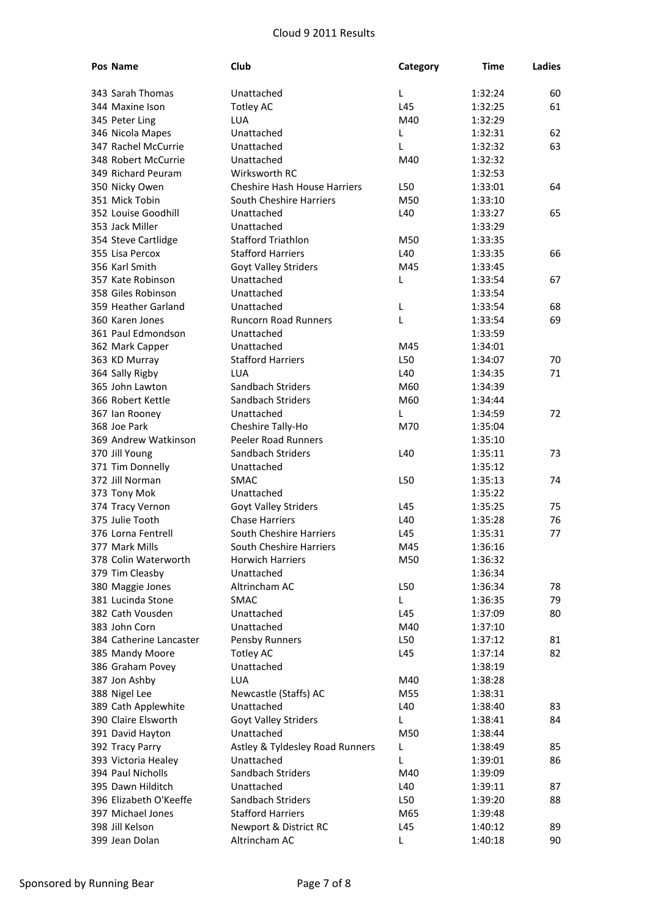| Pos Name                | Club                                    | Category | Time    | Ladies |
|-------------------------|-----------------------------------------|----------|---------|--------|
| 343 Sarah Thomas        | Unattached                              | L        | 1:32:24 | 60     |
| 344 Maxine Ison         | <b>Totley AC</b>                        | L45      | 1:32:25 | 61     |
| 345 Peter Ling          | LUA                                     | M40      | 1:32:29 |        |
| 346 Nicola Mapes        | Unattached                              | L        | 1:32:31 | 62     |
| 347 Rachel McCurrie     | Unattached                              | L        | 1:32:32 | 63     |
| 348 Robert McCurrie     | Unattached                              | M40      | 1:32:32 |        |
| 349 Richard Peuram      | Wirksworth RC                           |          | 1:32:53 |        |
| 350 Nicky Owen          | <b>Cheshire Hash House Harriers</b>     | L50      | 1:33:01 | 64     |
| 351 Mick Tobin          | South Cheshire Harriers                 | M50      | 1:33:10 |        |
| 352 Louise Goodhill     | Unattached                              | L40      |         |        |
|                         |                                         |          | 1:33:27 | 65     |
| 353 Jack Miller         | Unattached<br><b>Stafford Triathlon</b> |          | 1:33:29 |        |
| 354 Steve Cartlidge     |                                         | M50      | 1:33:35 |        |
| 355 Lisa Percox         | <b>Stafford Harriers</b>                | L40      | 1:33:35 | 66     |
| 356 Karl Smith          | Goyt Valley Striders                    | M45      | 1:33:45 |        |
| 357 Kate Robinson       | Unattached                              | L        | 1:33:54 | 67     |
| 358 Giles Robinson      | Unattached                              |          | 1:33:54 |        |
| 359 Heather Garland     | Unattached                              | L        | 1:33:54 | 68     |
| 360 Karen Jones         | Runcorn Road Runners                    | L        | 1:33:54 | 69     |
| 361 Paul Edmondson      | Unattached                              |          | 1:33:59 |        |
| 362 Mark Capper         | Unattached                              | M45      | 1:34:01 |        |
| 363 KD Murray           | <b>Stafford Harriers</b>                | L50      | 1:34:07 | 70     |
| 364 Sally Rigby         | LUA                                     | L40      | 1:34:35 | 71     |
| 365 John Lawton         | Sandbach Striders                       | M60      | 1:34:39 |        |
| 366 Robert Kettle       | Sandbach Striders                       | M60      | 1:34:44 |        |
| 367 Ian Rooney          | Unattached                              | L        | 1:34:59 | 72     |
| 368 Joe Park            | Cheshire Tally-Ho                       | M70      | 1:35:04 |        |
| 369 Andrew Watkinson    | <b>Peeler Road Runners</b>              |          | 1:35:10 |        |
| 370 Jill Young          | Sandbach Striders                       | L40      | 1:35:11 | 73     |
| 371 Tim Donnelly        | Unattached                              |          | 1:35:12 |        |
| 372 Jill Norman         | <b>SMAC</b>                             | L50      | 1:35:13 | 74     |
| 373 Tony Mok            | Unattached                              |          | 1:35:22 |        |
| 374 Tracy Vernon        | <b>Goyt Valley Striders</b>             | L45      | 1:35:25 | 75     |
| 375 Julie Tooth         | <b>Chase Harriers</b>                   | L40      | 1:35:28 | 76     |
| 376 Lorna Fentrell      | South Cheshire Harriers                 | L45      | 1:35:31 | 77     |
| 377 Mark Mills          | South Cheshire Harriers                 | M45      | 1:36:16 |        |
| 378 Colin Waterworth    | <b>Horwich Harriers</b>                 | M50      | 1:36:32 |        |
| 379 Tim Cleasby         | Unattached                              |          | 1:36:34 |        |
| 380 Maggie Jones        | Altrincham AC                           | L50      | 1:36:34 | 78     |
| 381 Lucinda Stone       | <b>SMAC</b>                             | L        | 1:36:35 | 79     |
| 382 Cath Vousden        | Unattached                              | L45      | 1:37:09 | 80     |
| 383 John Corn           | Unattached                              | M40      | 1:37:10 |        |
| 384 Catherine Lancaster | Pensby Runners                          | L50      | 1:37:12 | 81     |
| 385 Mandy Moore         | <b>Totley AC</b>                        | L45      | 1:37:14 | 82     |
| 386 Graham Povey        | Unattached                              |          | 1:38:19 |        |
| 387 Jon Ashby           | <b>LUA</b>                              | M40      | 1:38:28 |        |
| 388 Nigel Lee           | Newcastle (Staffs) AC                   | M55      | 1:38:31 |        |
| 389 Cath Applewhite     | Unattached                              | L40      | 1:38:40 | 83     |
| 390 Claire Elsworth     | Goyt Valley Striders                    | L        | 1:38:41 | 84     |
| 391 David Hayton        | Unattached                              | M50      | 1:38:44 |        |
| 392 Tracy Parry         | Astley & Tyldesley Road Runners         | L        | 1:38:49 | 85     |
| 393 Victoria Healey     | Unattached                              | L        | 1:39:01 | 86     |
| 394 Paul Nicholls       | Sandbach Striders                       | M40      | 1:39:09 |        |
| 395 Dawn Hilditch       | Unattached                              | L40      | 1:39:11 | 87     |
| 396 Elizabeth O'Keeffe  | Sandbach Striders                       | L50      | 1:39:20 | 88     |
| 397 Michael Jones       | <b>Stafford Harriers</b>                | M65      | 1:39:48 |        |
| 398 Jill Kelson         | Newport & District RC                   | L45      | 1:40:12 | 89     |
| 399 Jean Dolan          | Altrincham AC                           | L        | 1:40:18 | 90     |